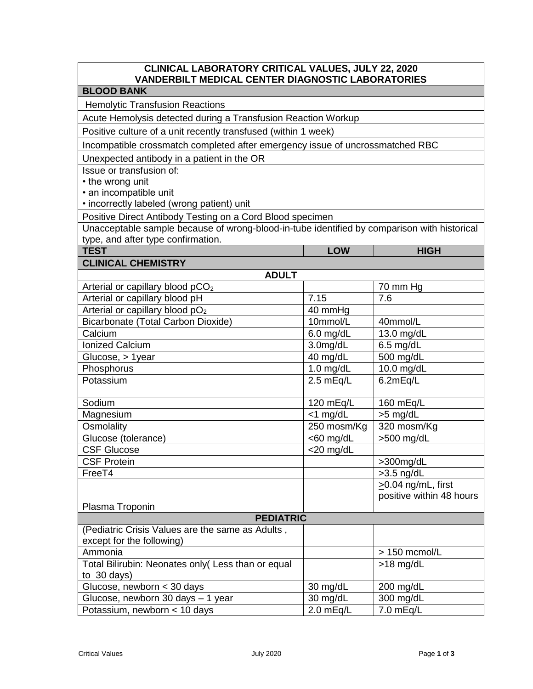| CLINICAL LABORATORY CRITICAL VALUES, JULY 22, 2020<br><b>VANDERBILT MEDICAL CENTER DIAGNOSTIC LABORATORIES</b> |              |                          |  |
|----------------------------------------------------------------------------------------------------------------|--------------|--------------------------|--|
| <b>BLOOD BANK</b>                                                                                              |              |                          |  |
| <b>Hemolytic Transfusion Reactions</b>                                                                         |              |                          |  |
| Acute Hemolysis detected during a Transfusion Reaction Workup                                                  |              |                          |  |
| Positive culture of a unit recently transfused (within 1 week)                                                 |              |                          |  |
| Incompatible crossmatch completed after emergency issue of uncrossmatched RBC                                  |              |                          |  |
| Unexpected antibody in a patient in the OR                                                                     |              |                          |  |
| Issue or transfusion of:                                                                                       |              |                          |  |
| • the wrong unit                                                                                               |              |                          |  |
| • an incompatible unit                                                                                         |              |                          |  |
| • incorrectly labeled (wrong patient) unit                                                                     |              |                          |  |
| Positive Direct Antibody Testing on a Cord Blood specimen                                                      |              |                          |  |
| Unacceptable sample because of wrong-blood-in-tube identified by comparison with historical                    |              |                          |  |
| type, and after type confirmation.                                                                             |              |                          |  |
| <b>TEST</b>                                                                                                    | <b>LOW</b>   | <b>HIGH</b>              |  |
| <b>CLINICAL CHEMISTRY</b>                                                                                      |              |                          |  |
| <b>ADULT</b>                                                                                                   |              |                          |  |
| Arterial or capillary blood pCO <sub>2</sub>                                                                   |              | 70 mm Hg                 |  |
| Arterial or capillary blood pH                                                                                 | 7.15         | 7.6                      |  |
| Arterial or capillary blood pO <sub>2</sub>                                                                    | 40 mmHg      |                          |  |
| Bicarbonate (Total Carbon Dioxide)                                                                             | 10mmol/L     | 40mmol/L                 |  |
| Calcium                                                                                                        | $6.0$ mg/dL  | 13.0 mg/dL               |  |
| <b>Ionized Calcium</b>                                                                                         | 3.0mg/dL     | $6.5$ mg/dL              |  |
| Glucose, > 1year                                                                                               | 40 mg/dL     | 500 mg/dL                |  |
| Phosphorus                                                                                                     | $1.0$ mg/dL  | 10.0 mg/dL               |  |
| Potassium                                                                                                      | 2.5 mEq/L    | 6.2mEq/L                 |  |
| Sodium                                                                                                         | 120 mEq/L    | 160 mEq/L                |  |
| Magnesium                                                                                                      | $<$ 1 mg/dL  | >5 mg/dL                 |  |
| Osmolality                                                                                                     | 250 mosm/Kg  | 320 mosm/Kg              |  |
| Glucose (tolerance)                                                                                            | $<$ 60 mg/dL | $>500$ mg/dL             |  |
| <b>CSF Glucose</b>                                                                                             | $<$ 20 mg/dL |                          |  |
| <b>CSF Protein</b>                                                                                             |              | >300mg/dL                |  |
| FreeT4                                                                                                         |              | $>3.5$ ng/dL             |  |
|                                                                                                                |              | $\geq$ 0.04 ng/mL, first |  |
|                                                                                                                |              | positive within 48 hours |  |
| Plasma Troponin                                                                                                |              |                          |  |
| <b>PEDIATRIC</b>                                                                                               |              |                          |  |
| (Pediatric Crisis Values are the same as Adults,<br>except for the following)                                  |              |                          |  |
| Ammonia                                                                                                        |              | > 150 mcmol/L            |  |
| Total Bilirubin: Neonates only( Less than or equal                                                             |              | $>18$ mg/dL              |  |
| to 30 days)                                                                                                    |              |                          |  |
| Glucose, newborn < 30 days                                                                                     | 30 mg/dL     | 200 mg/dL                |  |
| Glucose, newborn 30 days - 1 year                                                                              | 30 mg/dL     | 300 mg/dL                |  |
| Potassium, newborn < 10 days                                                                                   | 2.0 mEq/L    | 7.0 mEq/L                |  |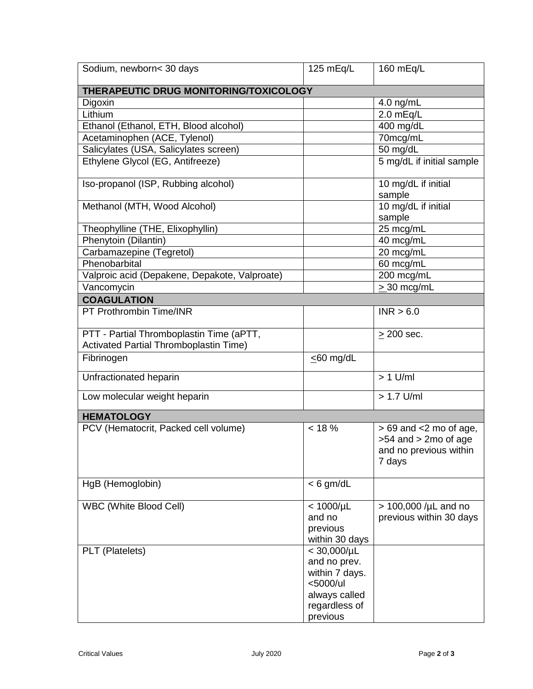| Sodium, newborn< 30 days                                                           | 125 mEq/L                                                                                                    | 160 mEq/L                                                                                   |  |  |
|------------------------------------------------------------------------------------|--------------------------------------------------------------------------------------------------------------|---------------------------------------------------------------------------------------------|--|--|
| THERAPEUTIC DRUG MONITORING/TOXICOLOGY                                             |                                                                                                              |                                                                                             |  |  |
| Digoxin                                                                            |                                                                                                              | 4.0 ng/mL                                                                                   |  |  |
| Lithium                                                                            |                                                                                                              | 2.0 mEq/L                                                                                   |  |  |
| Ethanol (Ethanol, ETH, Blood alcohol)                                              |                                                                                                              | 400 mg/dL                                                                                   |  |  |
| Acetaminophen (ACE, Tylenol)                                                       |                                                                                                              | 70mcg/mL                                                                                    |  |  |
| Salicylates (USA, Salicylates screen)                                              |                                                                                                              | 50 mg/dL                                                                                    |  |  |
| Ethylene Glycol (EG, Antifreeze)                                                   |                                                                                                              | 5 mg/dL if initial sample                                                                   |  |  |
| Iso-propanol (ISP, Rubbing alcohol)                                                |                                                                                                              | 10 mg/dL if initial<br>sample                                                               |  |  |
| Methanol (MTH, Wood Alcohol)                                                       |                                                                                                              | 10 mg/dL if initial<br>sample                                                               |  |  |
| Theophylline (THE, Elixophyllin)                                                   |                                                                                                              | 25 mcg/mL                                                                                   |  |  |
| Phenytoin (Dilantin)                                                               |                                                                                                              | 40 mcg/mL                                                                                   |  |  |
| Carbamazepine (Tegretol)                                                           |                                                                                                              | 20 mcg/mL                                                                                   |  |  |
| Phenobarbital                                                                      |                                                                                                              | 60 mcg/mL                                                                                   |  |  |
| Valproic acid (Depakene, Depakote, Valproate)                                      |                                                                                                              | 200 mcg/mL                                                                                  |  |  |
| Vancomycin                                                                         |                                                                                                              | $>$ 30 mcg/mL                                                                               |  |  |
| <b>COAGULATION</b>                                                                 |                                                                                                              |                                                                                             |  |  |
| PT Prothrombin Time/INR                                                            |                                                                                                              | INR > 6.0                                                                                   |  |  |
| PTT - Partial Thromboplastin Time (aPTT,<br>Activated Partial Thromboplastin Time) |                                                                                                              | $\geq$ 200 sec.                                                                             |  |  |
| Fibrinogen                                                                         | $\leq$ 60 mg/dL                                                                                              |                                                                                             |  |  |
| Unfractionated heparin                                                             |                                                                                                              | $> 1$ U/ml                                                                                  |  |  |
| Low molecular weight heparin                                                       |                                                                                                              | $> 1.7$ U/ml                                                                                |  |  |
| <b>HEMATOLOGY</b>                                                                  |                                                                                                              |                                                                                             |  |  |
| PCV (Hematocrit, Packed cell volume)                                               | $< 18 \%$                                                                                                    | $> 69$ and $< 2$ mo of age,<br>$>54$ and $>2$ mo of age<br>and no previous within<br>7 days |  |  |
| HgB (Hemoglobin)                                                                   | $< 6$ gm/dL                                                                                                  |                                                                                             |  |  |
| WBC (White Blood Cell)                                                             | $< 1000/\mu L$<br>and no<br>previous<br>within 30 days                                                       | $> 100,000$ /µL and no<br>previous within 30 days                                           |  |  |
| PLT (Platelets)                                                                    | $< 30,000/\mu L$<br>and no prev.<br>within 7 days.<br><5000/ul<br>always called<br>regardless of<br>previous |                                                                                             |  |  |